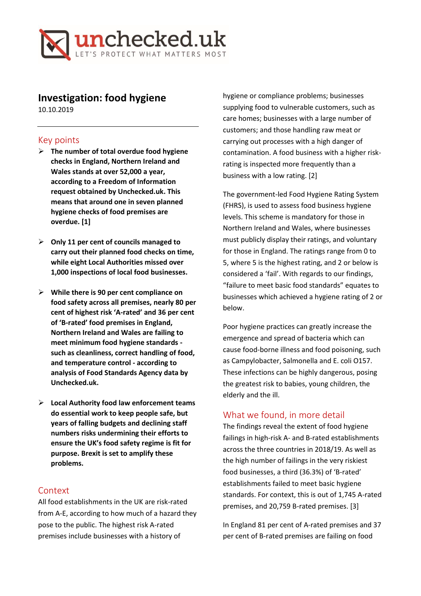

# **Investigation: food hygiene**

10.10.2019

#### Key points

- ➢ **The number of total overdue food hygiene checks in England, Northern Ireland and Wales stands at over 52,000 a year, according to a Freedom of Information request obtained by Unchecked.uk. This means that around one in seven planned hygiene checks of food premises are overdue. [1]**
- ➢ **Only 11 per cent of councils managed to carry out their planned food checks on time, while eight Local Authorities missed over 1,000 inspections of local food businesses.**
- ➢ **While there is 90 per cent compliance on food safety across all premises, nearly 80 per cent of highest risk 'A-rated' and 36 per cent of 'B-rated' food premises in England, Northern Ireland and Wales are failing to meet minimum food hygiene standards such as cleanliness, correct handling of food, and temperature control - according to analysis of Food Standards Agency data by Unchecked.uk.**
- ➢ **Local Authority food law enforcement teams do essential work to keep people safe, but years of falling budgets and declining staff numbers risks undermining their efforts to ensure the UK's food safety regime is fit for purpose. Brexit is set to amplify these problems.**

### Context

All food establishments in the UK are risk-rated from A-E, according to how much of a hazard they pose to the public. The highest risk A-rated premises include businesses with a history of

hygiene or compliance problems; businesses supplying food to vulnerable customers, such as care homes; businesses with a large number of customers; and those handling raw meat or carrying out processes with a high danger of contamination. A food business with a higher riskrating is inspected more frequently than a business with a low rating. [2]

The government-led Food Hygiene Rating System (FHRS), is used to assess food business hygiene levels. This scheme is mandatory for those in Northern Ireland and Wales, where businesses must publicly display their ratings, and voluntary for those in England. The ratings range from 0 to 5, where 5 is the highest rating, and 2 or below is considered a 'fail'. With regards to our findings, "failure to meet basic food standards" equates to businesses which achieved a hygiene rating of 2 or below.

Poor hygiene practices can greatly increase the emergence and spread of bacteria which can cause food-borne illness and food poisoning, such as Campylobacter, Salmonella and E. coli O157. These infections can be highly dangerous, posing the greatest risk to babies, young children, the elderly and the ill.

## What we found, in more detail

The findings reveal the extent of food hygiene failings in high-risk A- and B-rated establishments across the three countries in 2018/19. As well as the high number of failings in the very riskiest food businesses, a third (36.3%) of 'B-rated' establishments failed to meet basic hygiene standards. For context, this is out of 1,745 A-rated premises, and 20,759 B-rated premises. [3]

In England 81 per cent of A-rated premises and 37 per cent of B-rated premises are failing on food